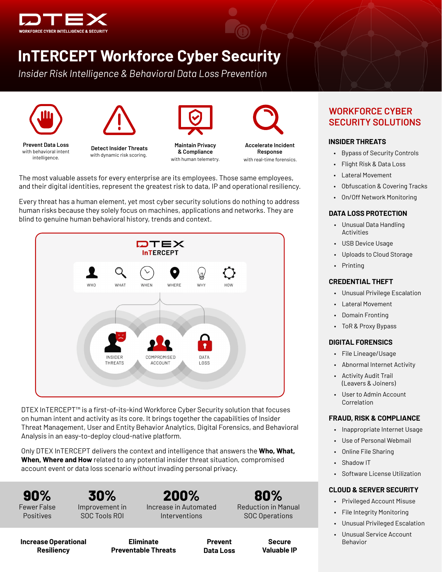

# **InTERCEPT Workforce Cyber Security**

*Insider Risk Intelligence & Behavioral Data Loss Prevention* 





**Prevent Data Loss** with behavioral intent intelligence.



**Detect Insider Threats** with dynamic risk scoring.



**Maintain Privacy & Compliance** with human telemetry.



**Accelerate Incident Response** with real-time forensics.

The most valuable assets for every enterprise are its employees. Those same employees, and their digital identities, represent the greatest risk to data, IP and operational resiliency.

Every threat has a human element, yet most cyber security solutions do nothing to address human risks because they solely focus on machines, applications and networks. They are blind to genuine human behavioral history, trends and context.



DTEX InTERCEPT™ is a first-of-its-kind Workforce Cyber Security solution that focuses on human intent and activity as its core. It brings together the capabilities of Insider Threat Management, User and Entity Behavior Analytics, Digital Forensics, and Behavioral Analysis in an easy-to-deploy cloud-native platform.

Only DTEX InTERCEPT delivers the context and intelligence that answers the **Who, What, When, Where and How** related to any potential insider threat situation, compromised account event or data loss scenario *without* invading personal privacy.

**90%**  Fewer False Positives

**30%**  Improvement in SOC Tools ROI

**200%** Increase in Automated Interventions

**80%** Reduction in Manual SOC Operations

#### **Increase Operational Resiliency**

**Eliminate Preventable Threats**

**Prevent Data Loss**

**Secure Valuable IP**

# **WORKFORCE CYBER SECURITY SOLUTIONS**

### **INSIDER THREATS**

- Bypass of Security Controls
- Flight Risk & Data Loss
- Lateral Movement
- Obfuscation & Covering Tracks
- On/Off Network Monitoring

#### **DATA LOSS PROTECTION**

- Unusual Data Handling Activities
- USB Device Usage
- Uploads to Cloud Storage
- Printing

#### **CREDENTIAL THEFT**

- Unusual Privilege Escalation
- Lateral Movement
- Domain Fronting
- ToR & Proxy Bypass

#### **DIGITAL FORENSICS**

- File Lineage/Usage
- Abnormal Internet Activity
- Activity Audit Trail (Leavers & Joiners)
- User to Admin Account Correlation

#### **FRAUD, RISK & COMPLIANCE**

- Inappropriate Internet Usage
- Use of Personal Webmail
- Online File Sharing
- Shadow IT
- Software License Utilization

#### **CLOUD & SERVER SECURITY**

- Privileged Account Misuse
- File Integrity Monitoring
- Unusual Privileged Escalation
- Unusual Service Account Behavior